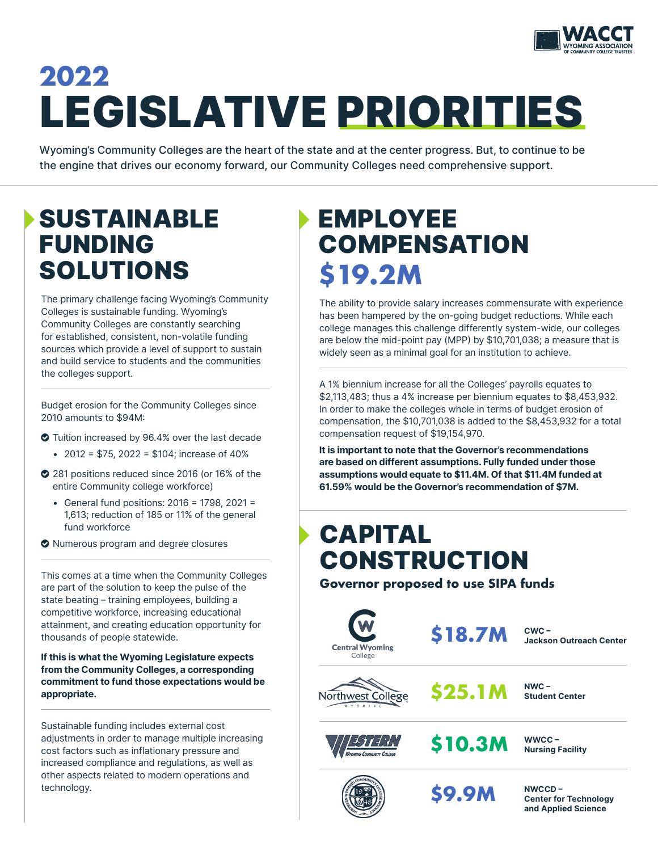

# LEGISLATIVE PRIORITIES **2022**

Wyoming's Community Colleges are the heart of the state and at the center progress. But, to continue to be the engine that drives our economy forward, our Community Colleges need comprehensive support.

## SUSTAINABLE FUNDING SOLUTIONS

The primary challenge facing Wyoming's Community Colleges is sustainable funding. Wyoming's Community Colleges are constantly searching for established, consistent, non-volatile funding sources which provide a level of support to sustain and build service to students and the communities the colleges support.

Budget erosion for the Community Colleges since 2010 amounts to \$94M:

- Tuition increased by 96.4% over the last decade
	- 2012 =  $$75, 2022 = $104$ ; increase of 40%
- 281 positions reduced since 2016 (or 16% of the entire Community college workforce)
	- General fund positions: 2016 = 1798, 2021 = 1,613; reduction of 185 or 11% of the general fund workforce
- $\bullet$  Numerous program and degree closures

This comes at a time when the Community Colleges are part of the solution to keep the pulse of the state beating – training employees, building a competitive workforce, increasing educational attainment, and creating education opportunity for thousands of people statewide.

If this is what the Wyoming Legislature expects from the Community Colleges, a corresponding commitment to fund those expectations would be appropriate.

Sustainable funding includes external cost adjustments in order to manage multiple increasing cost factors such as inflationary pressure and increased compliance and regulations, as well as other aspects related to modern operations and technology.

# EMPLOYEE **COMPENSATION \$19.2M**

The ability to provide salary increases commensurate with experience has been hampered by the on-going budget reductions. While each college manages this challenge differently system-wide, our colleges are below the mid-point pay (MPP) by \$10,701,038; a measure that is widely seen as a minimal goal for an institution to achieve.

A 1% biennium increase for all the Colleges' payrolls equates to \$2,113,483; thus a 4% increase per biennium equates to \$8,453,932. In order to make the colleges whole in terms of budget erosion of compensation, the \$10,701,038 is added to the \$8,453,932 for a total compensation request of \$19,154,970.

It is important to note that the Governor's recommendations are based on different assumptions. Fully funded under those assumptions would equate to \$11.4M. Of that \$11.4M funded at 61.59% would be the Governor's recommendation of \$7M.

## CAPITAL **CONSTRUCTION**

**Governor proposed to use SIPA funds**



**\$18.7M**

**\$9.9M**

CWC – Jackson Outreach Center

NWC – Student Center







NWCCD –

Center for Technology and Applied Science